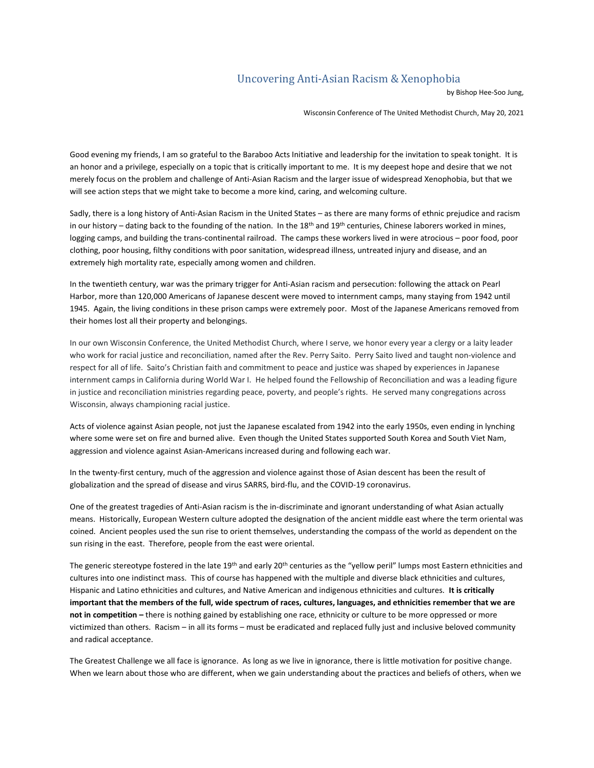## Uncovering Anti-Asian Racism & Xenophobia

by Bishop Hee-Soo Jung,

Wisconsin Conference of The United Methodist Church, May 20, 2021

Good evening my friends, I am so grateful to the Baraboo Acts Initiative and leadership for the invitation to speak tonight. It is an honor and a privilege, especially on a topic that is critically important to me. It is my deepest hope and desire that we not merely focus on the problem and challenge of Anti-Asian Racism and the larger issue of widespread Xenophobia, but that we will see action steps that we might take to become a more kind, caring, and welcoming culture.

Sadly, there is a long history of Anti-Asian Racism in the United States – as there are many forms of ethnic prejudice and racism in our history – dating back to the founding of the nation. In the 18<sup>th</sup> and 19<sup>th</sup> centuries, Chinese laborers worked in mines, logging camps, and building the trans-continental railroad. The camps these workers lived in were atrocious – poor food, poor clothing, poor housing, filthy conditions with poor sanitation, widespread illness, untreated injury and disease, and an extremely high mortality rate, especially among women and children.

In the twentieth century, war was the primary trigger for Anti-Asian racism and persecution: following the attack on Pearl Harbor, more than 120,000 Americans of Japanese descent were moved to internment camps, many staying from 1942 until 1945. Again, the living conditions in these prison camps were extremely poor. Most of the Japanese Americans removed from their homes lost all their property and belongings.

In our own Wisconsin Conference, the United Methodist Church, where I serve, we honor every year a clergy or a laity leader who work for racial justice and reconciliation, named after the Rev. Perry Saito. Perry Saito lived and taught non-violence and respect for all of life. Saito's Christian faith and commitment to peace and justice was shaped by experiences in Japanese internment camps in California during World War I. He helped found the Fellowship of Reconciliation and was a leading figure in justice and reconciliation ministries regarding peace, poverty, and people's rights. He served many congregations across Wisconsin, always championing racial justice.

Acts of violence against Asian people, not just the Japanese escalated from 1942 into the early 1950s, even ending in lynching where some were set on fire and burned alive. Even though the United States supported South Korea and South Viet Nam, aggression and violence against Asian-Americans increased during and following each war.

In the twenty-first century, much of the aggression and violence against those of Asian descent has been the result of globalization and the spread of disease and virus SARRS, bird-flu, and the COVID-19 coronavirus.

One of the greatest tragedies of Anti-Asian racism is the in-discriminate and ignorant understanding of what Asian actually means. Historically, European Western culture adopted the designation of the ancient middle east where the term oriental was coined. Ancient peoples used the sun rise to orient themselves, understanding the compass of the world as dependent on the sun rising in the east. Therefore, people from the east were oriental.

The generic stereotype fostered in the late 19<sup>th</sup> and early 20<sup>th</sup> centuries as the "yellow peril" lumps most Eastern ethnicities and cultures into one indistinct mass. This of course has happened with the multiple and diverse black ethnicities and cultures, Hispanic and Latino ethnicities and cultures, and Native American and indigenous ethnicities and cultures. **It is critically important that the members of the full, wide spectrum of races, cultures, languages, and ethnicities remember that we are not in competition –** there is nothing gained by establishing one race, ethnicity or culture to be more oppressed or more victimized than others. Racism – in all its forms – must be eradicated and replaced fully just and inclusive beloved community and radical acceptance.

The Greatest Challenge we all face is ignorance. As long as we live in ignorance, there is little motivation for positive change. When we learn about those who are different, when we gain understanding about the practices and beliefs of others, when we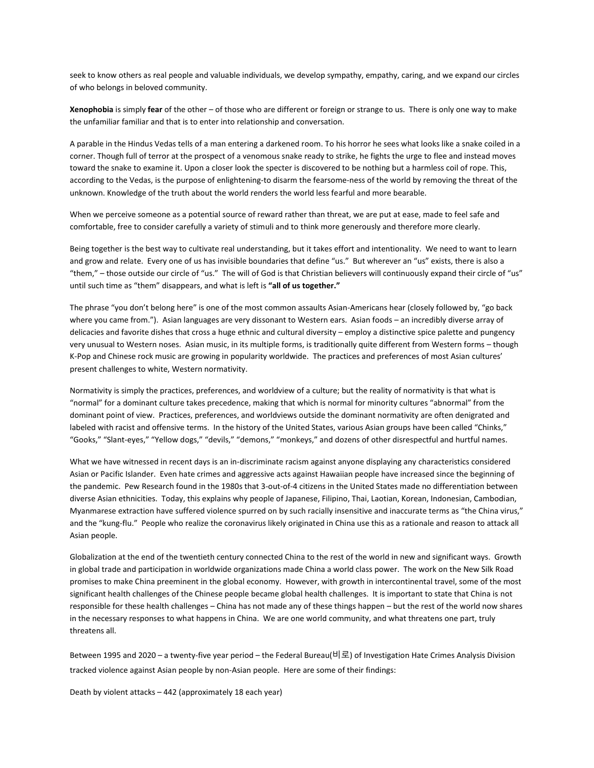seek to know others as real people and valuable individuals, we develop sympathy, empathy, caring, and we expand our circles of who belongs in beloved community.

**Xenophobia** is simply **fear** of the other – of those who are different or foreign or strange to us. There is only one way to make the unfamiliar familiar and that is to enter into relationship and conversation.

A parable in the Hindus Vedas tells of a man entering a darkened room. To his horror he sees what looks like a snake coiled in a corner. Though full of terror at the prospect of a venomous snake ready to strike, he fights the urge to flee and instead moves toward the snake to examine it. Upon a closer look the specter is discovered to be nothing but a harmless coil of rope. This, according to the Vedas, is the purpose of enlightening-to disarm the fearsome-ness of the world by removing the threat of the unknown. Knowledge of the truth about the world renders the world less fearful and more bearable.

When we perceive someone as a potential source of reward rather than threat, we are put at ease, made to feel safe and comfortable, free to consider carefully a variety of stimuli and to think more generously and therefore more clearly.

Being together is the best way to cultivate real understanding, but it takes effort and intentionality. We need to want to learn and grow and relate. Every one of us has invisible boundaries that define "us." But wherever an "us" exists, there is also a "them," – those outside our circle of "us." The will of God is that Christian believers will continuously expand their circle of "us" until such time as "them" disappears, and what is left is **"all of us together."**

The phrase "you don't belong here" is one of the most common assaults Asian-Americans hear (closely followed by, "go back where you came from."). Asian languages are very dissonant to Western ears. Asian foods – an incredibly diverse array of delicacies and favorite dishes that cross a huge ethnic and cultural diversity – employ a distinctive spice palette and pungency very unusual to Western noses. Asian music, in its multiple forms, is traditionally quite different from Western forms – though K-Pop and Chinese rock music are growing in popularity worldwide. The practices and preferences of most Asian cultures' present challenges to white, Western normativity.

Normativity is simply the practices, preferences, and worldview of a culture; but the reality of normativity is that what is "normal" for a dominant culture takes precedence, making that which is normal for minority cultures "abnormal" from the dominant point of view. Practices, preferences, and worldviews outside the dominant normativity are often denigrated and labeled with racist and offensive terms. In the history of the United States, various Asian groups have been called "Chinks," "Gooks," "Slant-eyes," "Yellow dogs," "devils," "demons," "monkeys," and dozens of other disrespectful and hurtful names.

What we have witnessed in recent days is an in-discriminate racism against anyone displaying any characteristics considered Asian or Pacific Islander. Even hate crimes and aggressive acts against Hawaiian people have increased since the beginning of the pandemic. Pew Research found in the 1980s that 3-out-of-4 citizens in the United States made no differentiation between diverse Asian ethnicities. Today, this explains why people of Japanese, Filipino, Thai, Laotian, Korean, Indonesian, Cambodian, Myanmarese extraction have suffered violence spurred on by such racially insensitive and inaccurate terms as "the China virus," and the "kung-flu." People who realize the coronavirus likely originated in China use this as a rationale and reason to attack all Asian people.

Globalization at the end of the twentieth century connected China to the rest of the world in new and significant ways. Growth in global trade and participation in worldwide organizations made China a world class power. The work on the New Silk Road promises to make China preeminent in the global economy. However, with growth in intercontinental travel, some of the most significant health challenges of the Chinese people became global health challenges. It is important to state that China is not responsible for these health challenges – China has not made any of these things happen – but the rest of the world now shares in the necessary responses to what happens in China. We are one world community, and what threatens one part, truly threatens all.

Between 1995 and 2020 – a twenty-five year period – the Federal Bureau(비로) of Investigation Hate Crimes Analysis Division tracked violence against Asian people by non-Asian people. Here are some of their findings:

Death by violent attacks – 442 (approximately 18 each year)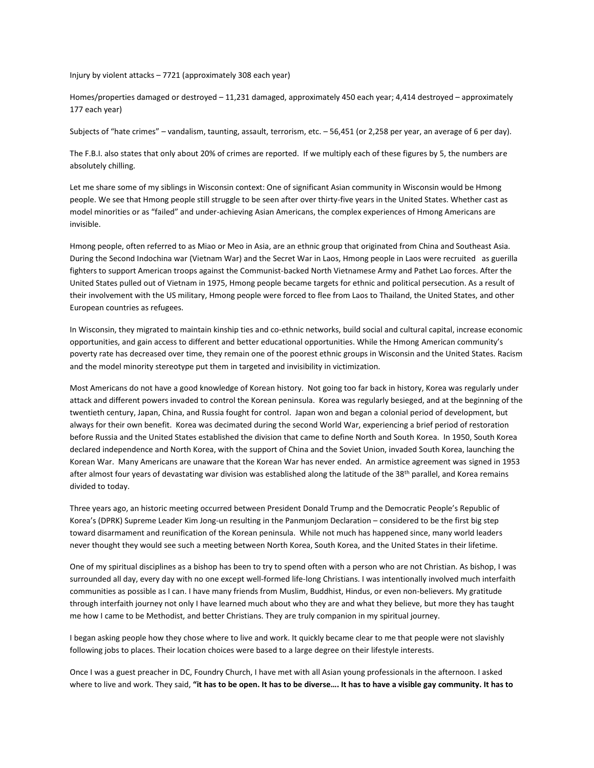Injury by violent attacks – 7721 (approximately 308 each year)

Homes/properties damaged or destroyed – 11,231 damaged, approximately 450 each year; 4,414 destroyed – approximately 177 each year)

Subjects of "hate crimes" – vandalism, taunting, assault, terrorism, etc. – 56,451 (or 2,258 per year, an average of 6 per day).

The F.B.I. also states that only about 20% of crimes are reported. If we multiply each of these figures by 5, the numbers are absolutely chilling.

Let me share some of my siblings in Wisconsin context: One of significant Asian community in Wisconsin would be Hmong people. We see that Hmong people still struggle to be seen after over thirty-five years in the United States. Whether cast as model minorities or as "failed" and under-achieving Asian Americans, the complex experiences of Hmong Americans are invisible.

Hmong people, often referred to as Miao or Meo in Asia, are an ethnic group that originated from China and Southeast Asia. During the Second Indochina war (Vietnam War) and the Secret War in Laos, Hmong people in Laos were recruited as guerilla fighters to support American troops against the Communist-backed North Vietnamese Army and Pathet Lao forces. After the United States pulled out of Vietnam in 1975, Hmong people became targets for ethnic and political persecution. As a result of their involvement with the US military, Hmong people were forced to flee from Laos to Thailand, the United States, and other European countries as refugees.

In Wisconsin, they migrated to maintain kinship ties and co-ethnic networks, build social and cultural capital, increase economic opportunities, and gain access to different and better educational opportunities. While the Hmong American community's poverty rate has decreased over time, they remain one of the poorest ethnic groups in Wisconsin and the United States. Racism and the model minority stereotype put them in targeted and invisibility in victimization.

Most Americans do not have a good knowledge of Korean history. Not going too far back in history, Korea was regularly under attack and different powers invaded to control the Korean peninsula. Korea was regularly besieged, and at the beginning of the twentieth century, Japan, China, and Russia fought for control. Japan won and began a colonial period of development, but always for their own benefit. Korea was decimated during the second World War, experiencing a brief period of restoration before Russia and the United States established the division that came to define North and South Korea. In 1950, South Korea declared independence and North Korea, with the support of China and the Soviet Union, invaded South Korea, launching the Korean War. Many Americans are unaware that the Korean War has never ended. An armistice agreement was signed in 1953 after almost four years of devastating war division was established along the latitude of the 38<sup>th</sup> parallel, and Korea remains divided to today.

Three years ago, an historic meeting occurred between President Donald Trump and the Democratic People's Republic of Korea's (DPRK) Supreme Leader Kim Jong-un resulting in the Panmunjom Declaration – considered to be the first big step toward disarmament and reunification of the Korean peninsula. While not much has happened since, many world leaders never thought they would see such a meeting between North Korea, South Korea, and the United States in their lifetime.

One of my spiritual disciplines as a bishop has been to try to spend often with a person who are not Christian. As bishop, I was surrounded all day, every day with no one except well-formed life-long Christians. I was intentionally involved much interfaith communities as possible as I can. I have many friends from Muslim, Buddhist, Hindus, or even non-believers. My gratitude through interfaith journey not only I have learned much about who they are and what they believe, but more they has taught me how I came to be Methodist, and better Christians. They are truly companion in my spiritual journey.

I began asking people how they chose where to live and work. It quickly became clear to me that people were not slavishly following jobs to places. Their location choices were based to a large degree on their lifestyle interests.

Once I was a guest preacher in DC, Foundry Church, I have met with all Asian young professionals in the afternoon. I asked where to live and work. They said, **"it has to be open. It has to be diverse…. It has to have a visible gay community. It has to**